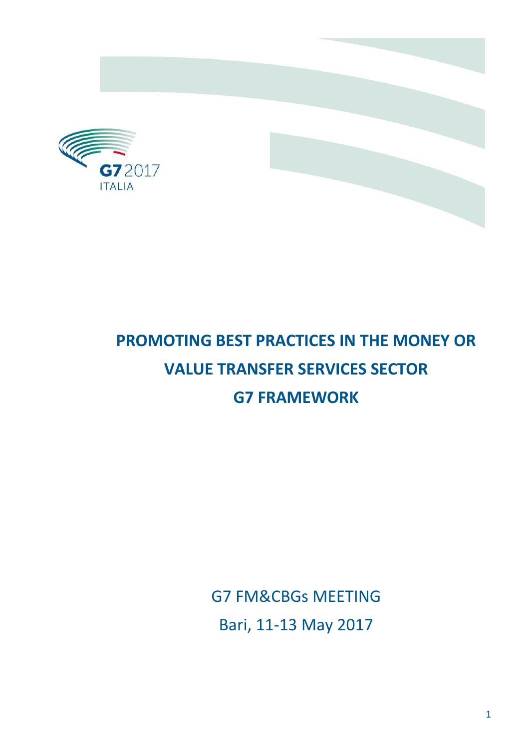

# **PROMOTING BEST PRACTICES IN THE MONEY OR VALUE TRANSFER SERVICES SECTOR G7 FRAMEWORK**

G7 FM&CBGs MEETING Bari, 11-13 May 2017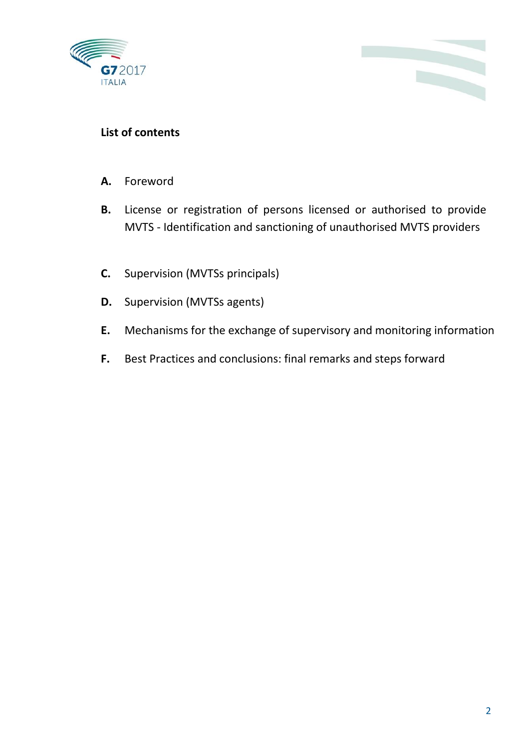



#### **List of contents**

- **A.** Foreword
- **B.** License or registration of persons licensed or authorised to provide MVTS - Identification and sanctioning of unauthorised MVTS providers
- **C.** Supervision (MVTSs principals)
- **D.** Supervision (MVTSs agents)
- **E.** Mechanisms for the exchange of supervisory and monitoring information
- **F.** Best Practices and conclusions: final remarks and steps forward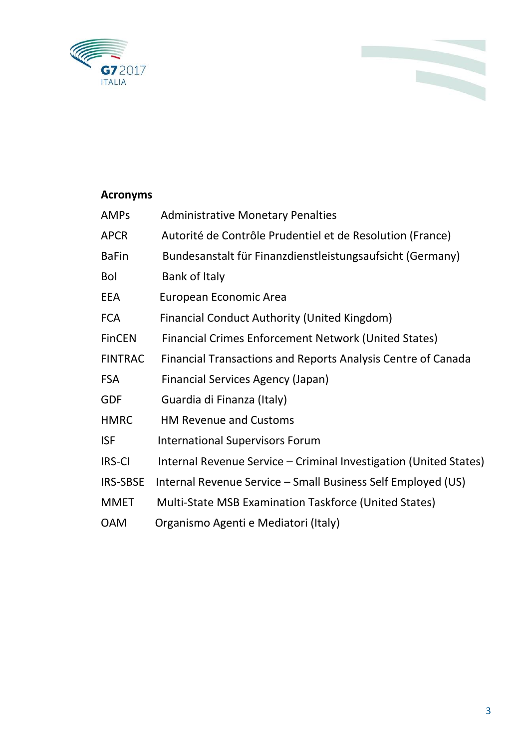

### **Acronyms**

| <b>Administrative Monetary Penalties</b>                          |
|-------------------------------------------------------------------|
| Autorité de Contrôle Prudentiel et de Resolution (France)         |
| Bundesanstalt für Finanzdienstleistungsaufsicht (Germany)         |
| Bank of Italy                                                     |
| European Economic Area                                            |
| <b>Financial Conduct Authority (United Kingdom)</b>               |
| <b>Financial Crimes Enforcement Network (United States)</b>       |
| Financial Transactions and Reports Analysis Centre of Canada      |
| <b>Financial Services Agency (Japan)</b>                          |
| Guardia di Finanza (Italy)                                        |
| <b>HM Revenue and Customs</b>                                     |
| <b>International Supervisors Forum</b>                            |
| Internal Revenue Service - Criminal Investigation (United States) |
| Internal Revenue Service - Small Business Self Employed (US)      |
| Multi-State MSB Examination Taskforce (United States)             |
| Organismo Agenti e Mediatori (Italy)                              |
|                                                                   |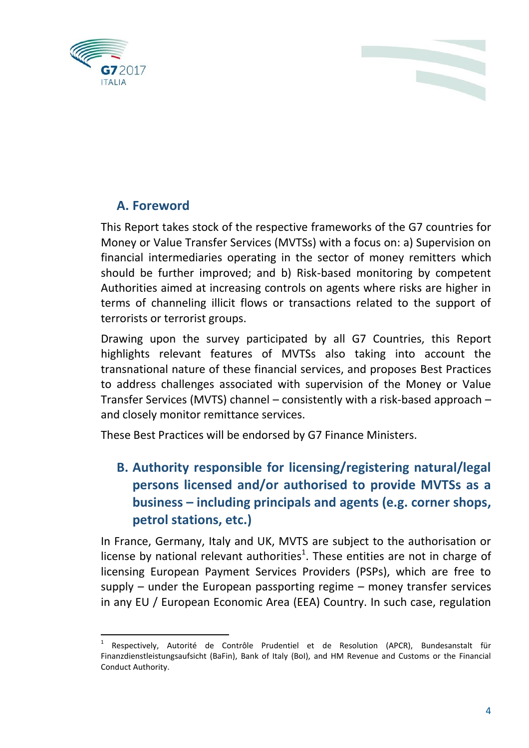

#### **A. Foreword**

This Report takes stock of the respective frameworks of the G7 countries for Money or Value Transfer Services (MVTSs) with a focus on: a) Supervision on financial intermediaries operating in the sector of money remitters which should be further improved; and b) Risk-based monitoring by competent Authorities aimed at increasing controls on agents where risks are higher in terms of channeling illicit flows or transactions related to the support of terrorists or terrorist groups.

Drawing upon the survey participated by all G7 Countries, this Report highlights relevant features of MVTSs also taking into account the transnational nature of these financial services, and proposes Best Practices to address challenges associated with supervision of the Money or Value Transfer Services (MVTS) channel – consistently with a risk-based approach – and closely monitor remittance services.

These Best Practices will be endorsed by G7 Finance Ministers.

## **B. Authority responsible for licensing/registering natural/legal persons licensed and/or authorised to provide MVTSs as a business – including principals and agents (e.g. corner shops, petrol stations, etc.)**

In France, Germany, Italy and UK, MVTS are subject to the authorisation or license by national relevant authorities<sup>1</sup>. These entities are not in charge of licensing European Payment Services Providers (PSPs), which are free to supply – under the European passporting regime – money transfer services in any EU / European Economic Area (EEA) Country. In such case, regulation

 $\overline{a}$ 1 Respectively, Autorité de Contrôle Prudentiel et de Resolution (APCR), Bundesanstalt für Finanzdienstleistungsaufsicht (BaFin), Bank of Italy (BoI), and HM Revenue and Customs or the Financial Conduct Authority.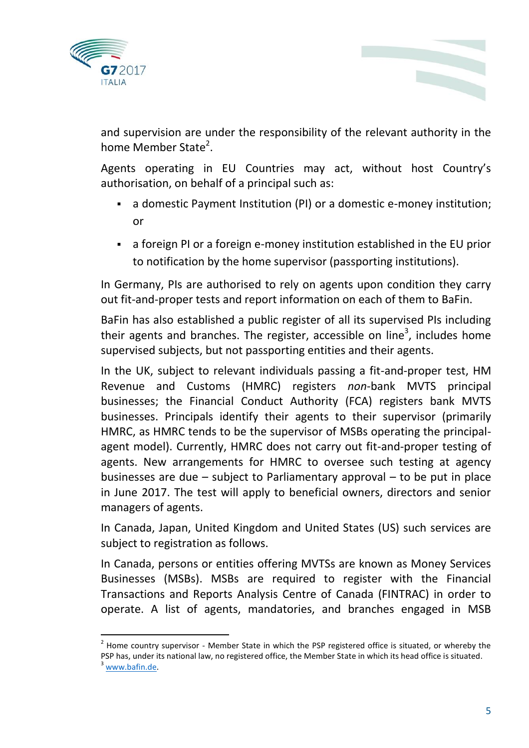



and supervision are under the responsibility of the relevant authority in the home Member State<sup>2</sup>.

Agents operating in EU Countries may act, without host Country's authorisation, on behalf of a principal such as:

- a domestic Payment Institution (PI) or a domestic e-money institution; or
- a foreign PI or a foreign e-money institution established in the EU prior to notification by the home supervisor (passporting institutions).

In Germany, PIs are authorised to rely on agents upon condition they carry out fit-and-proper tests and report information on each of them to BaFin.

BaFin has also established a public register of all its supervised PIs including their agents and branches. The register, accessible on line<sup>3</sup>, includes home supervised subjects, but not passporting entities and their agents.

In the UK, subject to relevant individuals passing a fit-and-proper test, HM Revenue and Customs (HMRC) registers *non*-bank MVTS principal businesses; the Financial Conduct Authority (FCA) registers bank MVTS businesses. Principals identify their agents to their supervisor (primarily HMRC, as HMRC tends to be the supervisor of MSBs operating the principalagent model). Currently, HMRC does not carry out fit-and-proper testing of agents. New arrangements for HMRC to oversee such testing at agency businesses are due – subject to Parliamentary approval – to be put in place in June 2017. The test will apply to beneficial owners, directors and senior managers of agents.

In Canada, Japan, United Kingdom and United States (US) such services are subject to registration as follows.

In Canada, persons or entities offering MVTSs are known as Money Services Businesses (MSBs). MSBs are required to register with the Financial Transactions and Reports Analysis Centre of Canada (FINTRAC) in order to operate. A list of agents, mandatories, and branches engaged in MSB

 $2$  Home country supervisor - Member State in which the PSP registered office is situated, or whereby the PSP has, under its national law, no registered office, the Member State in which its head office is situated.  $3$  [www.bafin.de.](http://www.bafin.de/)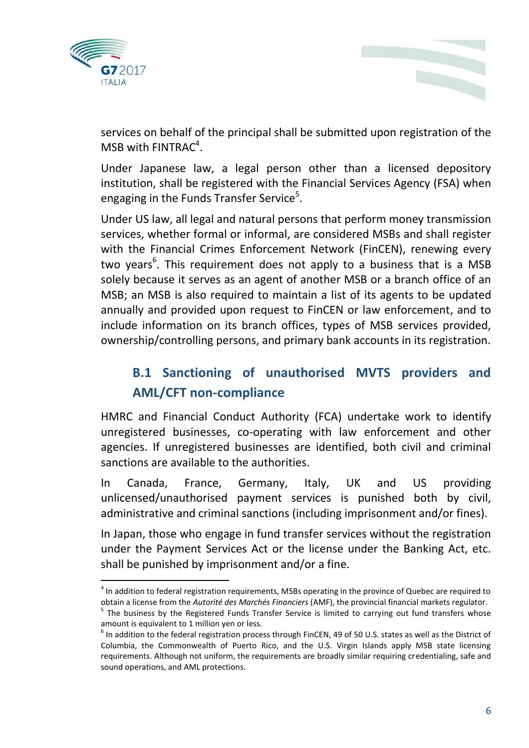



services on behalf of the principal shall be submitted upon registration of the MSB with  $FINTRAC<sup>4</sup>$ .

Under Japanese law, a legal person other than a licensed depository institution, shall be registered with the Financial Services Agency (FSA) when engaging in the Funds Transfer Service<sup>5</sup>.

Under US law, all legal and natural persons that perform money transmission services, whether formal or informal, are considered MSBs and shall register with the Financial Crimes Enforcement Network (FinCEN), renewing every two years<sup>6</sup>. This requirement does not apply to a business that is a MSB solely because it serves as an agent of another MSB or a branch office of an MSB; an MSB is also required to maintain a list of its agents to be updated annually and provided upon request to FinCEN or law enforcement, and to include information on its branch offices, types of MSB services provided, ownership/controlling persons, and primary bank accounts in its registration.

# **B.1 Sanctioning of unauthorised MVTS providers and AML/CFT non-compliance**

HMRC and Financial Conduct Authority (FCA) undertake work to identify unregistered businesses, co-operating with law enforcement and other agencies. If unregistered businesses are identified, both civil and criminal sanctions are available to the authorities.

In Canada, France, Germany, Italy, UK and US providing unlicensed/unauthorised payment services is punished both by civil, administrative and criminal sanctions (including imprisonment and/or fines).

In Japan, those who engage in fund transfer services without the registration under the Payment Services Act or the license under the Banking Act, etc. shall be punished by imprisonment and/or a fine.

 $\overline{a}$ <sup>4</sup> In addition to federal registration requirements, MSBs operating in the province of Quebec are required to obtain a license from the *Autorité des Marchés Financiers* (AMF), the provincial financial markets regulator.

<sup>&</sup>lt;sup>5</sup> The business by the Registered Funds Transfer Service is limited to carrying out fund transfers whose amount is equivalent to 1 million yen or less.

 $^6$  In addition to the federal registration process through FinCEN, 49 of 50 U.S. states as well as the District of Columbia, the Commonwealth of Puerto Rico, and the U.S. Virgin Islands apply MSB state licensing requirements. Although not uniform, the requirements are broadly similar requiring credentialing, safe and sound operations, and AML protections.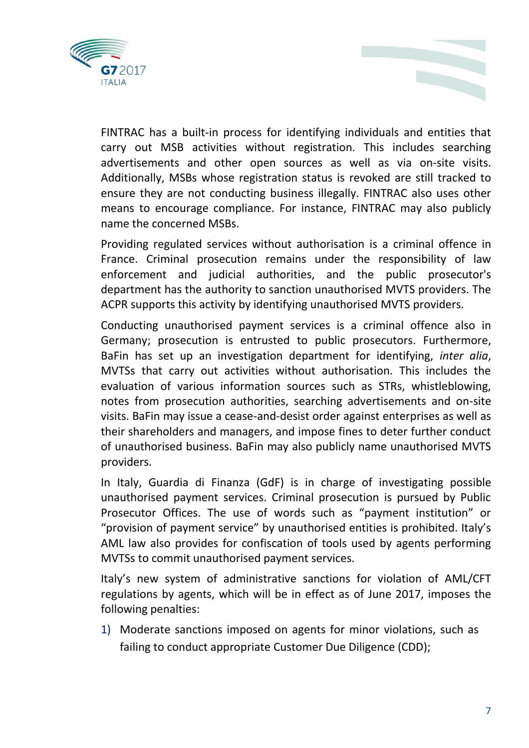

name the concerned MSBs.

FINTRAC has a built-in process for identifying individuals and entities that carry out MSB activities without registration. This includes searching advertisements and other open sources as well as via on-site visits. Additionally, MSBs whose registration status is revoked are still tracked to ensure they are not conducting business illegally. FINTRAC also uses other means to encourage compliance. For instance, FINTRAC may also publicly

Providing regulated services without authorisation is a criminal offence in France. Criminal prosecution remains under the responsibility of law enforcement and judicial authorities, and the public prosecutor's department has the authority to sanction unauthorised MVTS providers. The ACPR supports this activity by identifying unauthorised MVTS providers.

Conducting unauthorised payment services is a criminal offence also in Germany; prosecution is entrusted to public prosecutors. Furthermore, BaFin has set up an investigation department for identifying, *inter alia*, MVTSs that carry out activities without authorisation. This includes the evaluation of various information sources such as STRs, whistleblowing, notes from prosecution authorities, searching advertisements and on-site visits. BaFin may issue a cease-and-desist order against enterprises as well as their shareholders and managers, and impose fines to deter further conduct of unauthorised business. BaFin may also publicly name unauthorised MVTS providers.

In Italy, Guardia di Finanza (GdF) is in charge of investigating possible unauthorised payment services. Criminal prosecution is pursued by Public Prosecutor Offices. The use of words such as "payment institution" or "provision of payment service" by unauthorised entities is prohibited. Italy's AML law also provides for confiscation of tools used by agents performing MVTSs to commit unauthorised payment services.

Italy's new system of administrative sanctions for violation of AML/CFT regulations by agents, which will be in effect as of June 2017, imposes the following penalties:

1) Moderate sanctions imposed on agents for minor violations, such as failing to conduct appropriate Customer Due Diligence (CDD);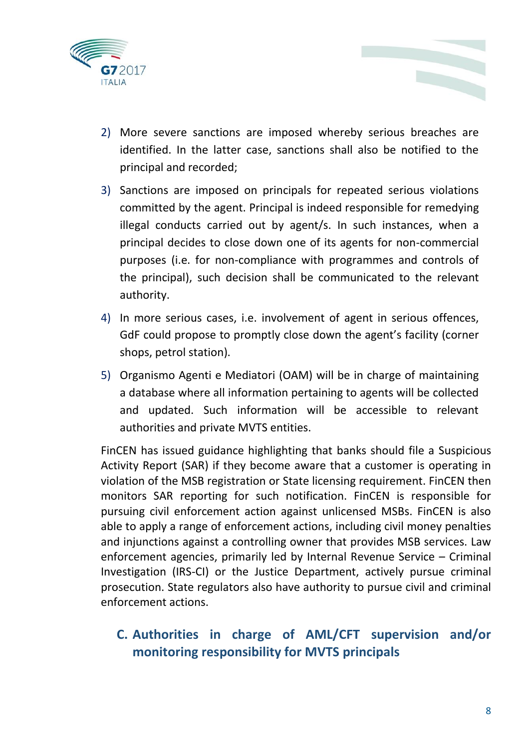

- 2) More severe sanctions are imposed whereby serious breaches are identified. In the latter case, sanctions shall also be notified to the principal and recorded;
- 3) Sanctions are imposed on principals for repeated serious violations committed by the agent. Principal is indeed responsible for remedying illegal conducts carried out by agent/s. In such instances, when a principal decides to close down one of its agents for non-commercial purposes (i.e. for non-compliance with programmes and controls of the principal), such decision shall be communicated to the relevant authority.
- 4) In more serious cases, i.e. involvement of agent in serious offences, GdF could propose to promptly close down the agent's facility (corner shops, petrol station).
- 5) Organismo Agenti e Mediatori (OAM) will be in charge of maintaining a database where all information pertaining to agents will be collected and updated. Such information will be accessible to relevant authorities and private MVTS entities.

FinCEN has issued guidance highlighting that banks should file a Suspicious Activity Report (SAR) if they become aware that a customer is operating in violation of the MSB registration or State licensing requirement. FinCEN then monitors SAR reporting for such notification. FinCEN is responsible for pursuing civil enforcement action against unlicensed MSBs. FinCEN is also able to apply a range of enforcement actions, including civil money penalties and injunctions against a controlling owner that provides MSB services. Law enforcement agencies, primarily led by Internal Revenue Service – Criminal Investigation (IRS-CI) or the Justice Department, actively pursue criminal prosecution. State regulators also have authority to pursue civil and criminal enforcement actions.

#### **C. Authorities in charge of AML/CFT supervision and/or monitoring responsibility for MVTS principals**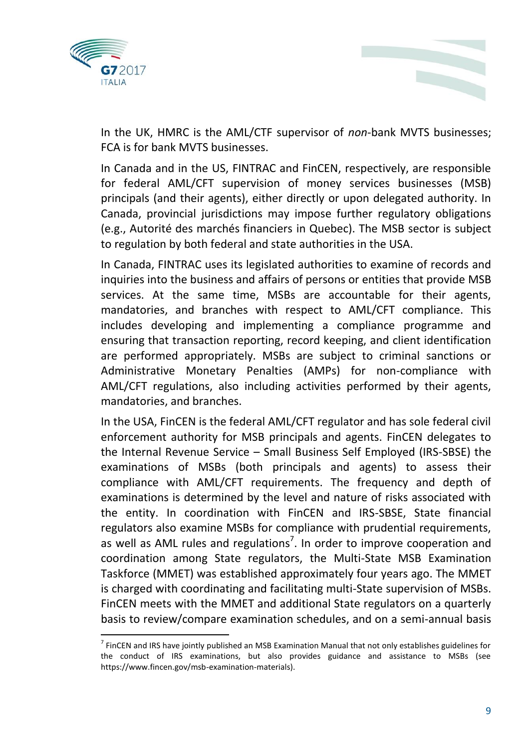



In the UK, HMRC is the AML/CTF supervisor of *non*-bank MVTS businesses; FCA is for bank MVTS businesses.

In Canada and in the US, FINTRAC and FinCEN, respectively, are responsible for federal AML/CFT supervision of money services businesses (MSB) principals (and their agents), either directly or upon delegated authority. In Canada, provincial jurisdictions may impose further regulatory obligations (e.g., Autorité des marchés financiers in Quebec). The MSB sector is subject to regulation by both federal and state authorities in the USA.

In Canada, FINTRAC uses its legislated authorities to examine of records and inquiries into the business and affairs of persons or entities that provide MSB services. At the same time, MSBs are accountable for their agents, mandatories, and branches with respect to AML/CFT compliance. This includes developing and implementing a compliance programme and ensuring that transaction reporting, record keeping, and client identification are performed appropriately. MSBs are subject to criminal sanctions or Administrative Monetary Penalties (AMPs) for non-compliance with AML/CFT regulations, also including activities performed by their agents, mandatories, and branches.

In the USA, FinCEN is the federal AML/CFT regulator and has sole federal civil enforcement authority for MSB principals and agents. FinCEN delegates to the Internal Revenue Service – Small Business Self Employed (IRS-SBSE) the examinations of MSBs (both principals and agents) to assess their compliance with AML/CFT requirements. The frequency and depth of examinations is determined by the level and nature of risks associated with the entity. In coordination with FinCEN and IRS-SBSE, State financial regulators also examine MSBs for compliance with prudential requirements, as well as AML rules and regulations<sup>7</sup>. In order to improve cooperation and coordination among State regulators, the Multi-State MSB Examination Taskforce (MMET) was established approximately four years ago. The MMET is charged with coordinating and facilitating multi-State supervision of MSBs. FinCEN meets with the MMET and additional State regulators on a quarterly basis to review/compare examination schedules, and on a semi-annual basis

 $^7$  FinCEN and IRS have jointly published an MSB Examination Manual that not only establishes guidelines for the conduct of IRS examinations, but also provides guidance and assistance to MSBs (see https://www.fincen.gov/msb-examination-materials).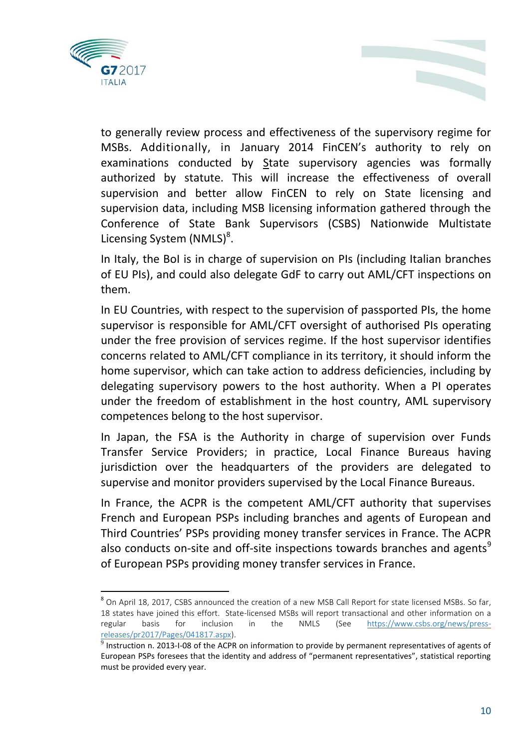

to generally review process and effectiveness of the supervisory regime for MSBs. Additionally, in January 2014 FinCEN's authority to rely on examinations conducted by State supervisory agencies was formally authorized by statute. This will increase the effectiveness of overall supervision and better allow FinCEN to rely on State licensing and supervision data, including MSB licensing information gathered through the Conference of State Bank Supervisors (CSBS) Nationwide Multistate Licensing System (NMLS)<sup>8</sup>.

In Italy, the BoI is in charge of supervision on PIs (including Italian branches of EU PIs), and could also delegate GdF to carry out AML/CFT inspections on them.

In EU Countries, with respect to the supervision of passported PIs, the home supervisor is responsible for AML/CFT oversight of authorised PIs operating under the free provision of services regime. If the host supervisor identifies concerns related to AML/CFT compliance in its territory, it should inform the home supervisor, which can take action to address deficiencies, including by delegating supervisory powers to the host authority. When a PI operates under the freedom of establishment in the host country, AML supervisory competences belong to the host supervisor.

In Japan, the FSA is the Authority in charge of supervision over Funds Transfer Service Providers; in practice, Local Finance Bureaus having jurisdiction over the headquarters of the providers are delegated to supervise and monitor providers supervised by the Local Finance Bureaus.

In France, the ACPR is the competent AML/CFT authority that supervises French and European PSPs including branches and agents of European and Third Countries' PSPs providing money transfer services in France. The ACPR also conducts on-site and off-site inspections towards branches and agents<sup>9</sup> of European PSPs providing money transfer services in France.

ended to a pril 18, 2017, CSBS announced the creation of a new MSB Call Report for state licensed MSBs. So far,<br><sup>8</sup> On April 18, 2017, CSBS announced the creation of a new MSB Call Report for state licensed MSBs. So far, 18 states have joined this effort. State-licensed MSBs will report transactional and other information on a regular basis for inclusion in the NMLS (See [https://www.csbs.org/news/press](https://www.csbs.org/news/press-releases/pr2017/Pages/041817.aspx)[releases/pr2017/Pages/041817.aspx\)](https://www.csbs.org/news/press-releases/pr2017/Pages/041817.aspx).

 $^9$  Instruction n. 2013-I-08 of the ACPR on information to provide by permanent representatives of agents of European PSPs foresees that the identity and address of "permanent representatives", statistical reporting must be provided every year.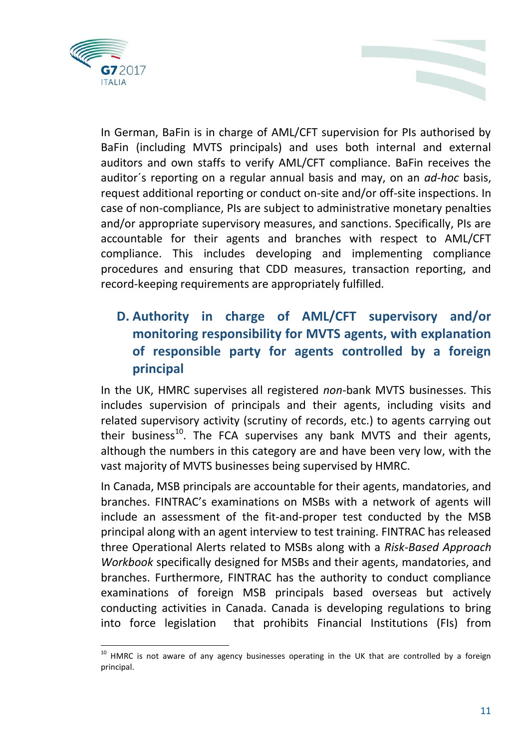

In German, BaFin is in charge of AML/CFT supervision for PIs authorised by BaFin (including MVTS principals) and uses both internal and external auditors and own staffs to verify AML/CFT compliance. BaFin receives the auditor´s reporting on a regular annual basis and may, on an *ad-hoc* basis, request additional reporting or conduct on-site and/or off-site inspections. In case of non-compliance, PIs are subject to administrative monetary penalties and/or appropriate supervisory measures, and sanctions. Specifically, PIs are accountable for their agents and branches with respect to AML/CFT compliance. This includes developing and implementing compliance procedures and ensuring that CDD measures, transaction reporting, and record-keeping requirements are appropriately fulfilled.

#### **D. Authority in charge of AML/CFT supervisory and/or monitoring responsibility for MVTS agents, with explanation of responsible party for agents controlled by a foreign principal**

In the UK, HMRC supervises all registered *non*-bank MVTS businesses. This includes supervision of principals and their agents, including visits and related supervisory activity (scrutiny of records, etc.) to agents carrying out their business<sup>10</sup>. The FCA supervises any bank MVTS and their agents, although the numbers in this category are and have been very low, with the vast majority of MVTS businesses being supervised by HMRC.

In Canada, MSB principals are accountable for their agents, mandatories, and branches. FINTRAC's examinations on MSBs with a network of agents will include an assessment of the fit-and-proper test conducted by the MSB principal along with an agent interview to test training. FINTRAC has released three Operational Alerts related to MSBs along with a *Risk-Based Approach Workbook* specifically designed for MSBs and their agents, mandatories, and branches. Furthermore, FINTRAC has the authority to conduct compliance examinations of foreign MSB principals based overseas but actively conducting activities in Canada. Canada is developing regulations to bring into force legislation that prohibits Financial Institutions (FIs) from

<sup>&</sup>lt;sup>10</sup> HMRC is not aware of any agency businesses operating in the UK that are controlled by a foreign principal.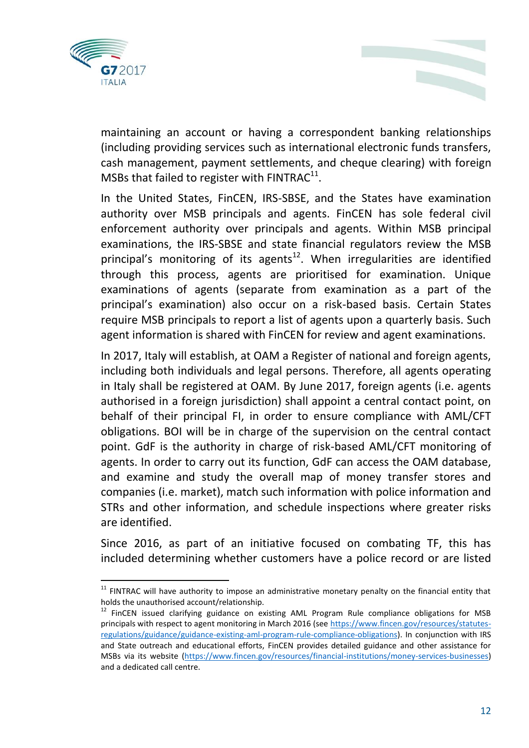

maintaining an account or having a correspondent banking relationships (including providing services such as international electronic funds transfers, cash management, payment settlements, and cheque clearing) with foreign MSBs that failed to register with FINTRAC $^{11}$ .

In the United States, FinCEN, IRS-SBSE, and the States have examination authority over MSB principals and agents. FinCEN has sole federal civil enforcement authority over principals and agents. Within MSB principal examinations, the IRS-SBSE and state financial regulators review the MSB principal's monitoring of its agents<sup>12</sup>. When irregularities are identified through this process, agents are prioritised for examination. Unique examinations of agents (separate from examination as a part of the principal's examination) also occur on a risk-based basis. Certain States require MSB principals to report a list of agents upon a quarterly basis. Such agent information is shared with FinCEN for review and agent examinations.

In 2017, Italy will establish, at OAM a Register of national and foreign agents, including both individuals and legal persons. Therefore, all agents operating in Italy shall be registered at OAM. By June 2017, foreign agents (i.e. agents authorised in a foreign jurisdiction) shall appoint a central contact point, on behalf of their principal FI, in order to ensure compliance with AML/CFT obligations. BOI will be in charge of the supervision on the central contact point. GdF is the authority in charge of risk-based AML/CFT monitoring of agents. In order to carry out its function, GdF can access the OAM database, and examine and study the overall map of money transfer stores and companies (i.e. market), match such information with police information and STRs and other information, and schedule inspections where greater risks are identified.

Since 2016, as part of an initiative focused on combating TF, this has included determining whether customers have a police record or are listed

 $11$  FINTRAC will have authority to impose an administrative monetary penalty on the financial entity that holds the unauthorised account/relationship.

<sup>&</sup>lt;sup>12</sup> FinCEN issued clarifying guidance on existing AML Program Rule compliance obligations for MSB principals with respect to agent monitoring in March 2016 (se[e https://www.fincen.gov/resources/statutes](https://www.fincen.gov/resources/statutes-regulations/guidance/guidance-existing-aml-program-rule-compliance-obligations)[regulations/guidance/guidance-existing-aml-program-rule-compliance-obligations\)](https://www.fincen.gov/resources/statutes-regulations/guidance/guidance-existing-aml-program-rule-compliance-obligations). In conjunction with IRS and State outreach and educational efforts, FinCEN provides detailed guidance and other assistance for MSBs via its website [\(https://www.fincen.gov/resources/financial-institutions/money-services-businesses\)](https://www.fincen.gov/resources/financial-institutions/money-services-businesses) and a dedicated call centre.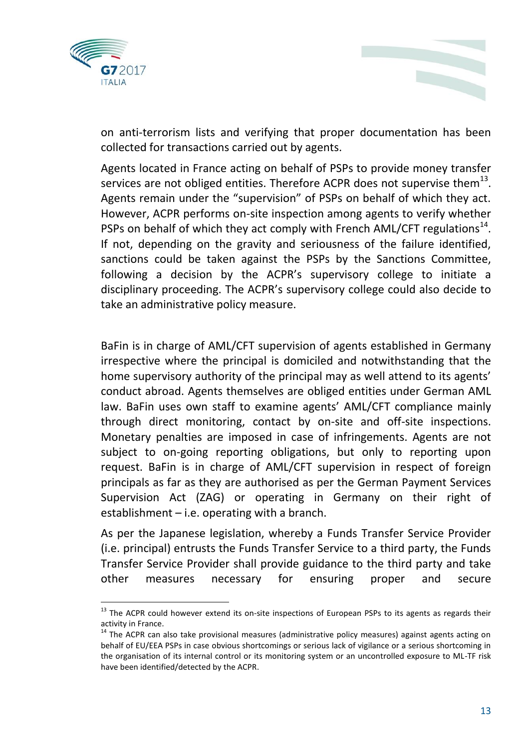



on anti-terrorism lists and verifying that proper documentation has been collected for transactions carried out by agents.

Agents located in France acting on behalf of PSPs to provide money transfer services are not obliged entities. Therefore ACPR does not supervise them $^{13}$ . Agents remain under the "supervision" of PSPs on behalf of which they act. However, ACPR performs on-site inspection among agents to verify whether PSPs on behalf of which they act comply with French AML/CFT regulations $^{14}$ . If not, depending on the gravity and seriousness of the failure identified, sanctions could be taken against the PSPs by the Sanctions Committee, following a decision by the ACPR's supervisory college to initiate a disciplinary proceeding. The ACPR's supervisory college could also decide to take an administrative policy measure.

BaFin is in charge of AML/CFT supervision of agents established in Germany irrespective where the principal is domiciled and notwithstanding that the home supervisory authority of the principal may as well attend to its agents' conduct abroad. Agents themselves are obliged entities under German AML law. BaFin uses own staff to examine agents' AML/CFT compliance mainly through direct monitoring, contact by on-site and off-site inspections. Monetary penalties are imposed in case of infringements. Agents are not subject to on-going reporting obligations, but only to reporting upon request. BaFin is in charge of AML/CFT supervision in respect of foreign principals as far as they are authorised as per the German Payment Services Supervision Act (ZAG) or operating in Germany on their right of establishment – i.e. operating with a branch.

As per the Japanese legislation, whereby a Funds Transfer Service Provider (i.e. principal) entrusts the Funds Transfer Service to a third party, the Funds Transfer Service Provider shall provide guidance to the third party and take other measures necessary for ensuring proper and secure

<sup>&</sup>lt;sup>13</sup> The ACPR could however extend its on-site inspections of European PSPs to its agents as regards their activity in France.

 $14$  The ACPR can also take provisional measures (administrative policy measures) against agents acting on behalf of EU/EEA PSPs in case obvious shortcomings or serious lack of vigilance or a serious shortcoming in the organisation of its internal control or its monitoring system or an uncontrolled exposure to ML-TF risk have been identified/detected by the ACPR.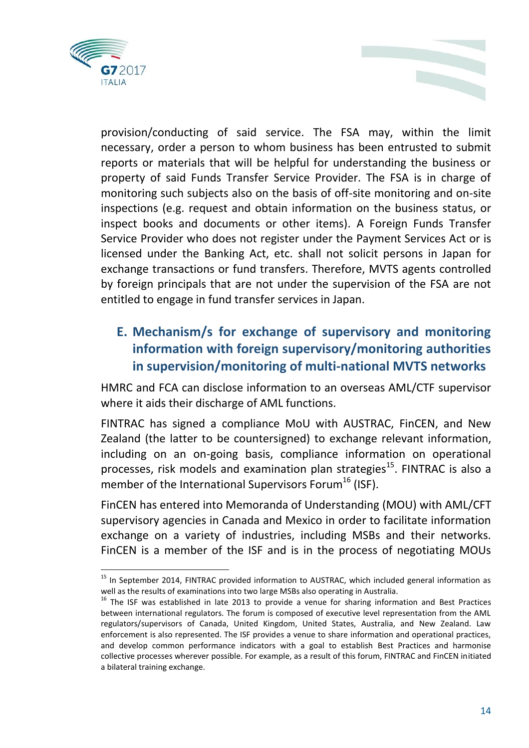

l

provision/conducting of said service. The FSA may, within the limit necessary, order a person to whom business has been entrusted to submit reports or materials that will be helpful for understanding the business or property of said Funds Transfer Service Provider. The FSA is in charge of monitoring such subjects also on the basis of off-site monitoring and on-site inspections (e.g. request and obtain information on the business status, or inspect books and documents or other items). A Foreign Funds Transfer Service Provider who does not register under the Payment Services Act or is licensed under the Banking Act, etc. shall not solicit persons in Japan for exchange transactions or fund transfers. Therefore, MVTS agents controlled by foreign principals that are not under the supervision of the FSA are not entitled to engage in fund transfer services in Japan.

### **E. Mechanism/s for exchange of supervisory and monitoring information with foreign supervisory/monitoring authorities in supervision/monitoring of multi-national MVTS networks**

HMRC and FCA can disclose information to an overseas AML/CTF supervisor where it aids their discharge of AML functions.

FINTRAC has signed a compliance MoU with AUSTRAC, FinCEN, and New Zealand (the latter to be countersigned) to exchange relevant information, including on an on-going basis, compliance information on operational processes, risk models and examination plan strategies<sup>15</sup>. FINTRAC is also a member of the International Supervisors Forum<sup>16</sup> (ISF).

FinCEN has entered into Memoranda of Understanding (MOU) with AML/CFT supervisory agencies in Canada and Mexico in order to facilitate information exchange on a variety of industries, including MSBs and their networks. FinCEN is a member of the ISF and is in the process of negotiating MOUs

<sup>&</sup>lt;sup>15</sup> In September 2014, FINTRAC provided information to AUSTRAC, which included general information as well as the results of examinations into two large MSBs also operating in Australia.

 $16$  The ISF was established in late 2013 to provide a venue for sharing information and Best Practices between international regulators. The forum is composed of executive level representation from the AML regulators/supervisors of Canada, United Kingdom, United States, Australia, and New Zealand. Law enforcement is also represented. The ISF provides a venue to share information and operational practices, and develop common performance indicators with a goal to establish Best Practices and harmonise collective processes wherever possible. For example, as a result of this forum, FINTRAC and FinCEN initiated a bilateral training exchange.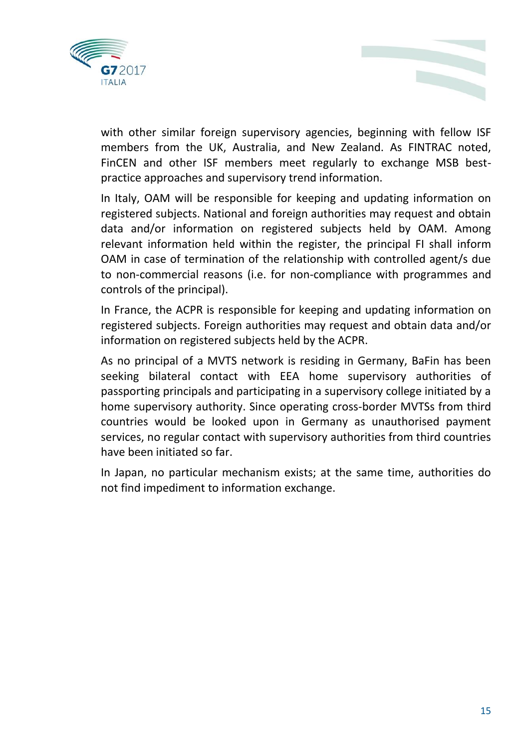



with other similar foreign supervisory agencies, beginning with fellow ISF members from the UK, Australia, and New Zealand. As FINTRAC noted, FinCEN and other ISF members meet regularly to exchange MSB bestpractice approaches and supervisory trend information.

In Italy, OAM will be responsible for keeping and updating information on registered subjects. National and foreign authorities may request and obtain data and/or information on registered subjects held by OAM. Among relevant information held within the register, the principal FI shall inform OAM in case of termination of the relationship with controlled agent/s due to non-commercial reasons (i.e. for non-compliance with programmes and controls of the principal).

In France, the ACPR is responsible for keeping and updating information on registered subjects. Foreign authorities may request and obtain data and/or information on registered subjects held by the ACPR.

As no principal of a MVTS network is residing in Germany, BaFin has been seeking bilateral contact with EEA home supervisory authorities of passporting principals and participating in a supervisory college initiated by a home supervisory authority. Since operating cross-border MVTSs from third countries would be looked upon in Germany as unauthorised payment services, no regular contact with supervisory authorities from third countries have been initiated so far.

In Japan, no particular mechanism exists; at the same time, authorities do not find impediment to information exchange.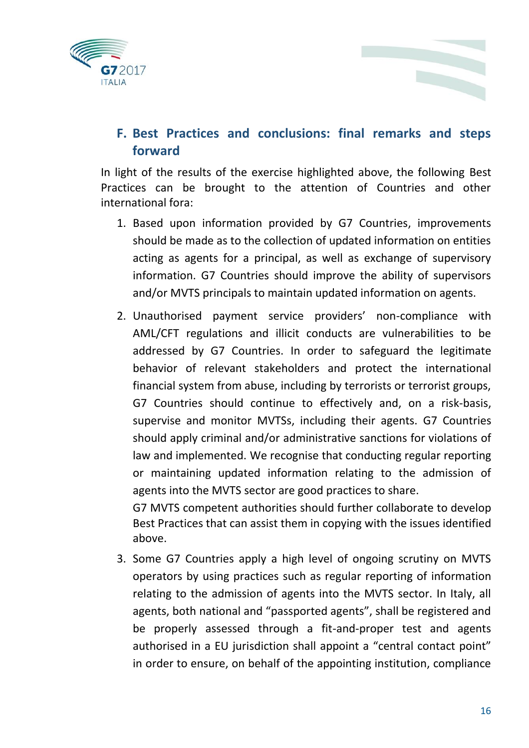



#### **F. Best Practices and conclusions: final remarks and steps forward**

In light of the results of the exercise highlighted above, the following Best Practices can be brought to the attention of Countries and other international fora:

- 1. Based upon information provided by G7 Countries, improvements should be made as to the collection of updated information on entities acting as agents for a principal, as well as exchange of supervisory information. G7 Countries should improve the ability of supervisors and/or MVTS principals to maintain updated information on agents.
- 2. Unauthorised payment service providers' non-compliance with AML/CFT regulations and illicit conducts are vulnerabilities to be addressed by G7 Countries. In order to safeguard the legitimate behavior of relevant stakeholders and protect the international financial system from abuse, including by terrorists or terrorist groups, G7 Countries should continue to effectively and, on a risk-basis, supervise and monitor MVTSs, including their agents. G7 Countries should apply criminal and/or administrative sanctions for violations of law and implemented. We recognise that conducting regular reporting or maintaining updated information relating to the admission of agents into the MVTS sector are good practices to share.

G7 MVTS competent authorities should further collaborate to develop Best Practices that can assist them in copying with the issues identified above.

3. Some G7 Countries apply a high level of ongoing scrutiny on MVTS operators by using practices such as regular reporting of information relating to the admission of agents into the MVTS sector. In Italy, all agents, both national and "passported agents", shall be registered and be properly assessed through a fit-and-proper test and agents authorised in a EU jurisdiction shall appoint a "central contact point" in order to ensure, on behalf of the appointing institution, compliance